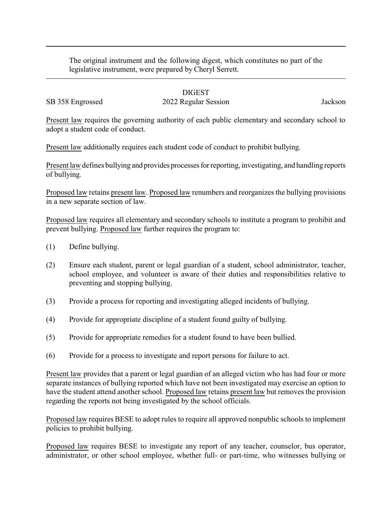The original instrument and the following digest, which constitutes no part of the legislative instrument, were prepared by Cheryl Serrett.

## DIGEST

SB 358 Engrossed 2022 Regular Session Jackson

Present law requires the governing authority of each public elementary and secondary school to adopt a student code of conduct.

Present law additionally requires each student code of conduct to prohibit bullying.

Present law defines bullying and provides processes for reporting, investigating, and handling reports of bullying.

Proposed law retains present law. Proposed law renumbers and reorganizes the bullying provisions in a new separate section of law.

Proposed law requires all elementary and secondary schools to institute a program to prohibit and prevent bullying. Proposed law further requires the program to:

- (1) Define bullying.
- (2) Ensure each student, parent or legal guardian of a student, school administrator, teacher, school employee, and volunteer is aware of their duties and responsibilities relative to preventing and stopping bullying.
- (3) Provide a process for reporting and investigating alleged incidents of bullying.
- (4) Provide for appropriate discipline of a student found guilty of bullying.
- (5) Provide for appropriate remedies for a student found to have been bullied.
- (6) Provide for a process to investigate and report persons for failure to act.

Present law provides that a parent or legal guardian of an alleged victim who has had four or more separate instances of bullying reported which have not been investigated may exercise an option to have the student attend another school. Proposed law retains present law but removes the provision regarding the reports not being investigated by the school officials.

Proposed law requires BESE to adopt rules to require all approved nonpublic schools to implement policies to prohibit bullying.

Proposed law requires BESE to investigate any report of any teacher, counselor, bus operator, administrator, or other school employee, whether full- or part-time, who witnesses bullying or